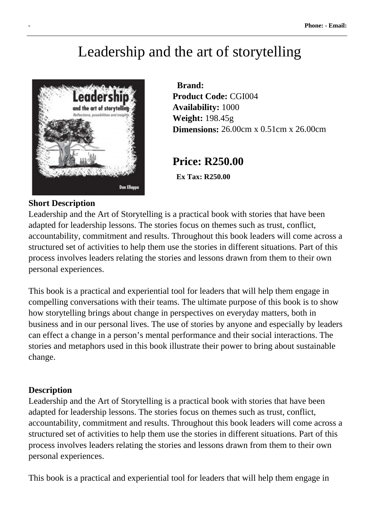# Leadership and the art of storytelling



 **Brand: Product Code:** CGI004 **Availability:** 1000 **Weight:** 198.45g **Dimensions:** 26.00cm x 0.51cm x 26.00cm

## **Price: R250.00**

 **Ex Tax: R250.00** 

#### **Short Description**

Leadership and the Art of Storytelling is a practical book with stories that have been adapted for leadership lessons. The stories focus on themes such as trust, conflict, accountability, commitment and results. Throughout this book leaders will come across a structured set of activities to help them use the stories in different situations. Part of this process involves leaders relating the stories and lessons drawn from them to their own personal experiences.

This book is a practical and experiential tool for leaders that will help them engage in compelling conversations with their teams. The ultimate purpose of this book is to show how storytelling brings about change in perspectives on everyday matters, both in business and in our personal lives. The use of stories by anyone and especially by leaders can effect a change in a person's mental performance and their social interactions. The stories and metaphors used in this book illustrate their power to bring about sustainable change.

#### **Description**

Leadership and the Art of Storytelling is a practical book with stories that have been adapted for leadership lessons. The stories focus on themes such as trust, conflict, accountability, commitment and results. Throughout this book leaders will come across a structured set of activities to help them use the stories in different situations. Part of this process involves leaders relating the stories and lessons drawn from them to their own personal experiences.

This book is a practical and experiential tool for leaders that will help them engage in